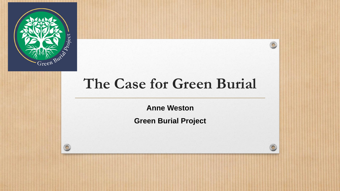

#### **The Case for Green Burial**

**Anne Weston**

**Green Burial Project**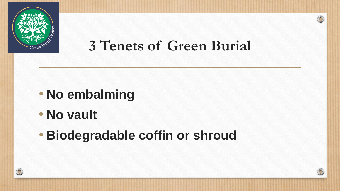

### **3 Tenets of Green Burial**

- **No embalming**
- **No vault**
- **Biodegradable coffin or shroud**

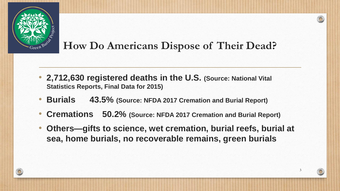

#### **How Do Americans Dispose of Their Dead?**

- **2,712,630 registered deaths in the U.S. (Source: National Vital Statistics Reports, Final Data for 2015)**
- **Burials 43.5% (Source: NFDA 2017 Cremation and Burial Report)**
- **Cremations 50.2% (Source: NFDA 2017 Cremation and Burial Report)**
- **Others—gifts to science, wet cremation, burial reefs, burial at sea, home burials, no recoverable remains, green burials**

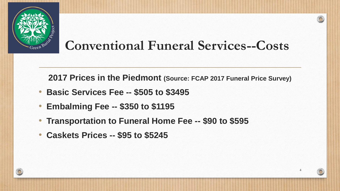

#### **Conventional Funeral Services--Costs**

**2017 Prices in the Piedmont (Source: FCAP 2017 Funeral Price Survey)**

- **Basic Services Fee -- \$505 to \$3495**
- **Embalming Fee -- \$350 to \$1195**
- **Transportation to Funeral Home Fee -- \$90 to \$595**
- **Caskets Prices -- \$95 to \$5245**

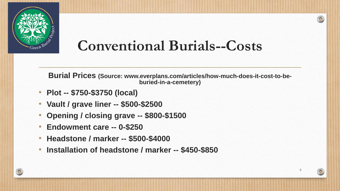

#### **Conventional Burials--Costs**

**Burial Prices (Source: www.everplans.com/articles/how-much-does-it-cost-to-beburied-in-a-cemetery)**

- **Plot -- \$750-\$3750 (local)**
- **Vault / grave liner -- \$500-\$2500**
- **Opening / closing grave -- \$800-\$1500**
- **Endowment care -- 0-\$250**
- **Headstone / marker -- \$500-\$4000**
- **Installation of headstone / marker -- \$450-\$850**

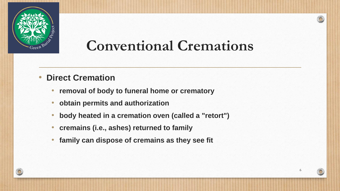

# **Conventional Cremations**

- **Direct Cremation**
	- **removal of body to funeral home or crematory**
	- **obtain permits and authorization**
	- **body heated in a cremation oven (called a "retort")**
	- **cremains (i.e., ashes) returned to family**
	- **family can dispose of cremains as they see fit**

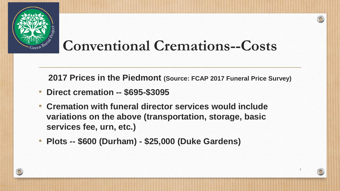

### **Conventional Cremations--Costs**

**2017 Prices in the Piedmont (Source: FCAP 2017 Funeral Price Survey)**

- **Direct cremation -- \$695-\$3095**
- **Cremation with funeral director services would include variations on the above (transportation, storage, basic services fee, urn, etc.)**
- **Plots -- \$600 (Durham) - \$25,000 (Duke Gardens)**

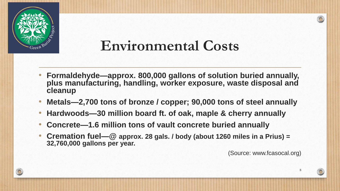

#### **Environmental Costs**

- **Formaldehyde—approx. 800,000 gallons of solution buried annually, plus manufacturing, handling, worker exposure, waste disposal and cleanup**
- **Metals—2,700 tons of bronze / copper; 90,000 tons of steel annually**
- **Hardwoods—30 million board ft. of oak, maple & cherry annually**
- **Concrete—1.6 million tons of vault concrete buried annually**
- **Cremation fuel—@ approx. 28 gals. / body (about 1260 miles in a Prius) = 32,760,000 gallons per year.**

(Source: www.fcasocal.org)

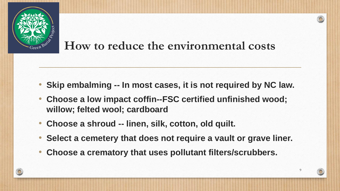

#### **How to reduce the environmental costs**

- **Skip embalming -- In most cases, it is not required by NC law.**
- **Choose a low impact coffin--FSC certified unfinished wood; willow; felted wool; cardboard**
- **Choose a shroud -- linen, silk, cotton, old quilt.**
- **Select a cemetery that does not require a vault or grave liner.**

9

• **Choose a crematory that uses pollutant filters/scrubbers.**

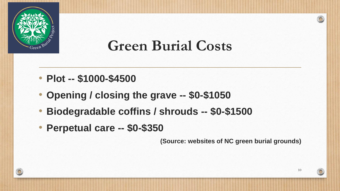

### **Green Burial Costs**

- **Plot -- \$1000-\$4500**
- **Opening / closing the grave -- \$0-\$1050**
- **Biodegradable coffins / shrouds -- \$0-\$1500**
- **Perpetual care -- \$0-\$350**

**(Source: websites of NC green burial grounds)**

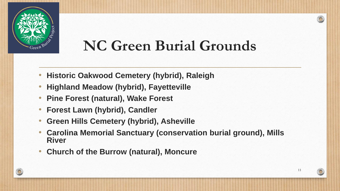

# **NC Green Burial Grounds**

- **Historic Oakwood Cemetery (hybrid), Raleigh**
- **Highland Meadow (hybrid), Fayetteville**
- **Pine Forest (natural), Wake Forest**
- **Forest Lawn (hybrid), Candler**
- **Green Hills Cemetery (hybrid), Asheville**
- **Carolina Memorial Sanctuary (conservation burial ground), Mills River**
- **Church of the Burrow (natural), Moncure**